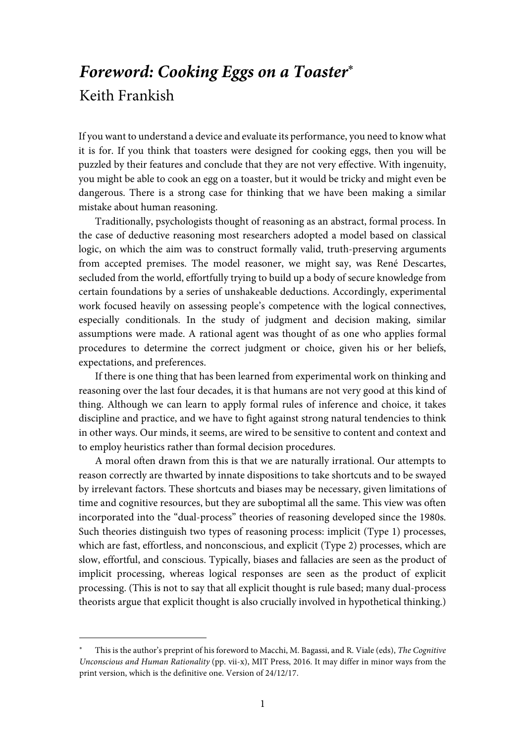## **Foreword: Cooking Eggs on a Toaster** Keith Frankish

If you want to understand a device and evaluate its performance, you need to know what it is for. If you think that toasters were designed for cooking eggs, then you will be puzzled by their features and conclude that they are not very effective. With ingenuity, you might be able to cook an egg on a toaster, but it would be tricky and might even be dangerous. There is a strong case for thinking that we have been making a similar mistake about human reasoning.

 Traditionally, psychologists thought of reasoning as an abstract, formal process. In the case of deductive reasoning most researchers adopted a model based on classical logic, on which the aim was to construct formally valid, truth-preserving arguments from accepted premises. The model reasoner, we might say, was René Descartes, secluded from the world, effortfully trying to build up a body of secure knowledge from certain foundations by a series of unshakeable deductions. Accordingly, experimental work focused heavily on assessing people's competence with the logical connectives, especially conditionals. In the study of judgment and decision making, similar assumptions were made. A rational agent was thought of as one who applies formal procedures to determine the correct judgment or choice, given his or her beliefs, expectations, and preferences.

 If there is one thing that has been learned from experimental work on thinking and reasoning over the last four decades, it is that humans are not very good at this kind of thing. Although we can learn to apply formal rules of inference and choice, it takes discipline and practice, and we have to fight against strong natural tendencies to think in other ways. Our minds, it seems, are wired to be sensitive to content and context and to employ heuristics rather than formal decision procedures.

 A moral often drawn from this is that we are naturally irrational. Our attempts to reason correctly are thwarted by innate dispositions to take shortcuts and to be swayed by irrelevant factors. These shortcuts and biases may be necessary, given limitations of time and cognitive resources, but they are suboptimal all the same. This view was often incorporated into the "dual-process" theories of reasoning developed since the 1980s. Such theories distinguish two types of reasoning process: implicit (Type 1) processes, which are fast, effortless, and nonconscious, and explicit (Type 2) processes, which are slow, effortful, and conscious. Typically, biases and fallacies are seen as the product of implicit processing, whereas logical responses are seen as the product of explicit processing. (This is not to say that all explicit thought is rule based; many dual-process theorists argue that explicit thought is also crucially involved in hypothetical thinking.)

 $\overline{a}$ 

<sup>×</sup>  This is the author's preprint of his foreword to Macchi, M. Bagassi, and R. Viale (eds), The Cognitive Unconscious and Human Rationality (pp. vii-x), MIT Press, 2016. It may differ in minor ways from the print version, which is the definitive one. Version of 24/12/17.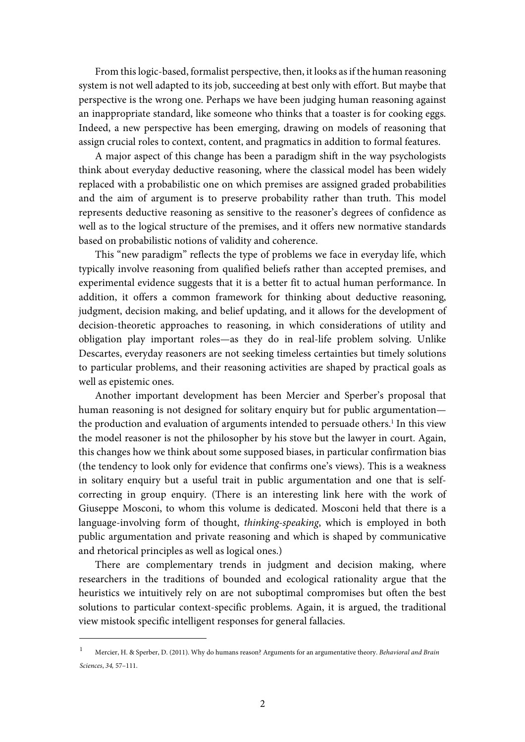From this logic-based, formalist perspective, then, it looks as if the human reasoning system is not well adapted to its job, succeeding at best only with effort. But maybe that perspective is the wrong one. Perhaps we have been judging human reasoning against an inappropriate standard, like someone who thinks that a toaster is for cooking eggs. Indeed, a new perspective has been emerging, drawing on models of reasoning that assign crucial roles to context, content, and pragmatics in addition to formal features.

 A major aspect of this change has been a paradigm shift in the way psychologists think about everyday deductive reasoning, where the classical model has been widely replaced with a probabilistic one on which premises are assigned graded probabilities and the aim of argument is to preserve probability rather than truth. This model represents deductive reasoning as sensitive to the reasoner's degrees of confidence as well as to the logical structure of the premises, and it offers new normative standards based on probabilistic notions of validity and coherence.

 This "new paradigm" reflects the type of problems we face in everyday life, which typically involve reasoning from qualified beliefs rather than accepted premises, and experimental evidence suggests that it is a better fit to actual human performance. In addition, it offers a common framework for thinking about deductive reasoning, judgment, decision making, and belief updating, and it allows for the development of decision-theoretic approaches to reasoning, in which considerations of utility and obligation play important roles—as they do in real-life problem solving. Unlike Descartes, everyday reasoners are not seeking timeless certainties but timely solutions to particular problems, and their reasoning activities are shaped by practical goals as well as epistemic ones.

 Another important development has been Mercier and Sperber's proposal that human reasoning is not designed for solitary enquiry but for public argumentation the production and evaluation of arguments intended to persuade others.<sup>1</sup> In this view the model reasoner is not the philosopher by his stove but the lawyer in court. Again, this changes how we think about some supposed biases, in particular confirmation bias (the tendency to look only for evidence that confirms one's views). This is a weakness in solitary enquiry but a useful trait in public argumentation and one that is selfcorrecting in group enquiry. (There is an interesting link here with the work of Giuseppe Mosconi, to whom this volume is dedicated. Mosconi held that there is a language-involving form of thought, thinking-speaking, which is employed in both public argumentation and private reasoning and which is shaped by communicative and rhetorical principles as well as logical ones.)

 There are complementary trends in judgment and decision making, where researchers in the traditions of bounded and ecological rationality argue that the heuristics we intuitively rely on are not suboptimal compromises but often the best solutions to particular context-specific problems. Again, it is argued, the traditional view mistook specific intelligent responses for general fallacies.

 $\overline{a}$ 

<sup>1</sup> Mercier, H. & Sperber, D. (2011). Why do humans reason? Arguments for an argumentative theory. Behavioral and Brain Sciences, 34, 57–111.